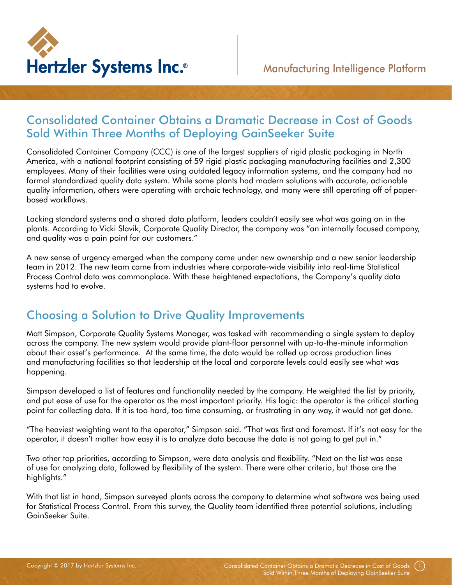

## Consolidated Container Obtains a Dramatic Decrease in Cost of Goods Sold Within Three Months of Deploying GainSeeker Suite

Consolidated Container Company (CCC) is one of the largest suppliers of rigid plastic packaging in North America, with a national footprint consisting of 59 rigid plastic packaging manufacturing facilities and 2,300 employees. Many of their facilities were using outdated legacy information systems, and the company had no formal standardized quality data system. While some plants had modern solutions with accurate, actionable quality information, others were operating with archaic technology, and many were still operating off of paperbased workflows.

Lacking standard systems and a shared data platform, leaders couldn't easily see what was going on in the plants. According to Vicki Slavik, Corporate Quality Director, the company was "an internally focused company, and quality was a pain point for our customers."

A new sense of urgency emerged when the company came under new ownership and a new senior leadership team in 2012. The new team came from industries where corporate-wide visibility into real-time Statistical Process Control data was commonplace. With these heightened expectations, the Company's quality data systems had to evolve.

# Choosing a Solution to Drive Quality Improvements

Matt Simpson, Corporate Quality Systems Manager, was tasked with recommending a single system to deploy across the company. The new system would provide plant-floor personnel with up-to-the-minute information about their asset's performance. At the same time, the data would be rolled up across production lines and manufacturing facilities so that leadership at the local and corporate levels could easily see what was happening.

Simpson developed a list of features and functionality needed by the company. He weighted the list by priority, and put ease of use for the operator as the most important priority. His logic: the operator is the critical starting point for collecting data. If it is too hard, too time consuming, or frustrating in any way, it would not get done.

"The heaviest weighting went to the operator," Simpson said. "That was first and foremost. If it's not easy for the operator, it doesn't matter how easy it is to analyze data because the data is not going to get put in."

Two other top priorities, according to Simpson, were data analysis and flexibility. "Next on the list was ease of use for analyzing data, followed by flexibility of the system. There were other criteria, but those are the highlights."

With that list in hand, Simpson surveyed plants across the company to determine what software was being used for Statistical Process Control. From this survey, the Quality team identified three potential solutions, including GainSeeker Suite.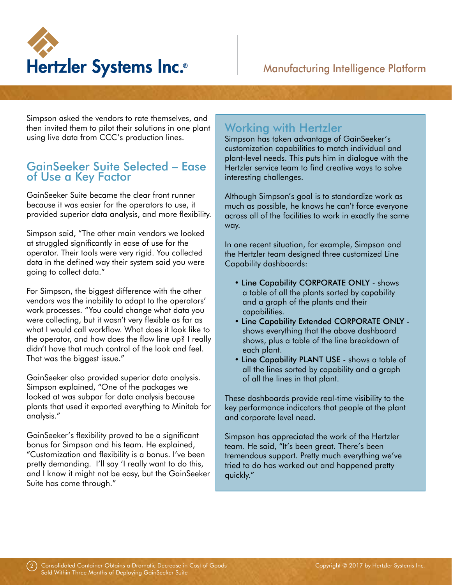

Simpson asked the vendors to rate themselves, and then invited them to pilot their solutions in one plant using live data from CCC's production lines.

#### GainSeeker Suite Selected – Ease of Use a Key Factor

GainSeeker Suite became the clear front runner because it was easier for the operators to use, it provided superior data analysis, and more flexibility.

Simpson said, "The other main vendors we looked at struggled significantly in ease of use for the operator. Their tools were very rigid. You collected data in the defined way their system said you were going to collect data."

For Simpson, the biggest difference with the other vendors was the inability to adapt to the operators' work processes. "You could change what data you were collecting, but it wasn't very flexible as far as what I would call workflow. What does it look like to the operator, and how does the flow line up? I really didn't have that much control of the look and feel. That was the biggest issue."

GainSeeker also provided superior data analysis. Simpson explained, "One of the packages we looked at was subpar for data analysis because plants that used it exported everything to Minitab for analysis."

GainSeeker's flexibility proved to be a significant bonus for Simpson and his team. He explained, "Customization and flexibility is a bonus. I've been pretty demanding. I'll say 'I really want to do this, and I know it might not be easy, but the GainSeeker Suite has come through."

## Working with Hertzler

Simpson has taken advantage of GainSeeker's customization capabilities to match individual and plant-level needs. This puts him in dialogue with the Hertzler service team to find creative ways to solve interesting challenges.

Although Simpson's goal is to standardize work as much as possible, he knows he can't force everyone across all of the facilities to work in exactly the same way.

In one recent situation, for example, Simpson and the Hertzler team designed three customized Line Capability dashboards:

- Line Capability CORPORATE ONLY shows a table of all the plants sorted by capability and a graph of the plants and their capabilities.
- Line Capability Extended CORPORATE ONLY shows everything that the above dashboard shows, plus a table of the line breakdown of each plant.
- Line Capability PLANT USE shows a table of all the lines sorted by capability and a graph of all the lines in that plant.

These dashboards provide real-time visibility to the key performance indicators that people at the plant and corporate level need.

Simpson has appreciated the work of the Hertzler team. He said, "It's been great. There's been tremendous support. Pretty much everything we've tried to do has worked out and happened pretty quickly."